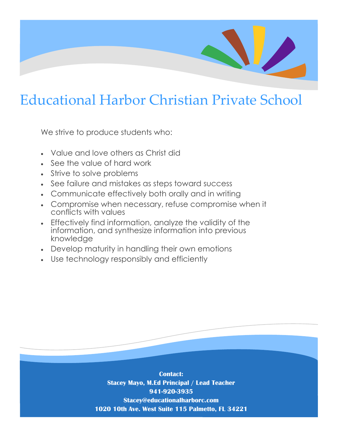# Educational Harbor Christian Private School

We strive to produce students who:

- Value and love others as Christ did
- See the value of hard work
- Strive to solve problems
- See failure and mistakes as steps toward success
- Communicate effectively both orally and in writing
- See randic and mistakes as steps toward soccess<br>• Communicate effectively both orally and in writing<br>• Compromise when necessary, refuse compromise when it conflicts with values
- Effectively find information, analyze the validity of the information, and synthesize information into previous knowledge
- Develop maturity in handling their own emotions
- Use technology responsibly and efficiently

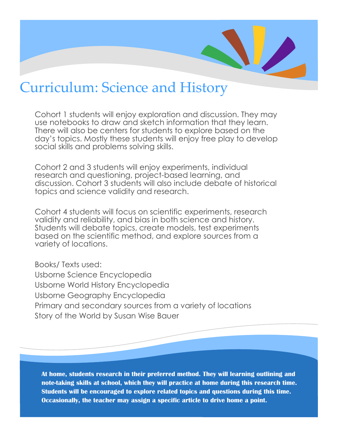## Curriculum: Science and History

Cohort 1 students will enjoy exploration and discussion. They may use notebooks to draw and sketch information that they learn. There will also be centers for students to explore based on the day's topics. Mostly these students will enjoy free play to develop social skills and problems solving skills.

topics and science validity and research. Cohort 2 and 3 students will enjoy experiments, individual research and questioning, project-based learning, and discussion. Cohort 3 students will also include debate of historical

Cohort 4 students will focus on scientific experiments, research validity and reliability, and bias in both science and history. Students will debate topics, create models, test experiments based on the scientific method, and explore sources from a variety of locations.

Books/ Texts used: Usborne Science Encyclopedia Usborne World History Encyclopedia Usborne Geography Encyclopedia Primary and secondary sources from a variety of locations Story of the World by Susan Wise Bauer

**At home, students research in their preferred method. They will learning outlining and note-taking skills at school, which they will practice at home during this research time. Students will be encouraged to explore related topics and questions during this time. Occasionally, the teacher may assign a specific article to drive home a point.**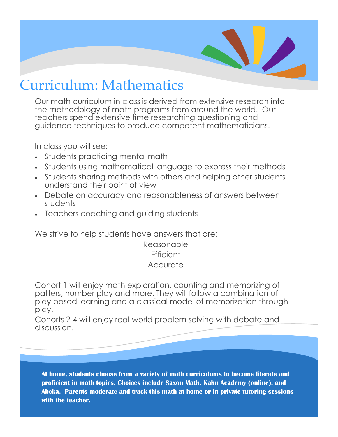## Curriculum: Mathematics

Our math curriculum in class is derived from extensive research into the methodology of math programs from around the world. Our teachers spend extensive time researching questioning and guidance techniques to produce competent mathematicians.

In class you will see:

- Students practicing mental math
- Students using mathematical language to express their methods
- Students sharing methods with others and helping other students understand their point of view
- poi<br>"ac Debate on accuracy and reasonableness of answers between students
- Teachers coaching and guiding students

We strive to help students have answers that are:

Reasonable **Efficient Accurate** 

Cohort 1 will enjoy math exploration, counting and memorizing of patters, number play and more. They will follow a combination of play based learning and a classical model of memorization through play.

Cohorts 2-4 will enjoy real-world problem solving with debate and discussion.

**At home, students choose from a variety of math curriculums to become literate and proficient in math topics. Choices include Saxon Math, Kahn Academy (online), and Abeka. Parents moderate and track this math at home or in private tutoring sessions with the teacher.**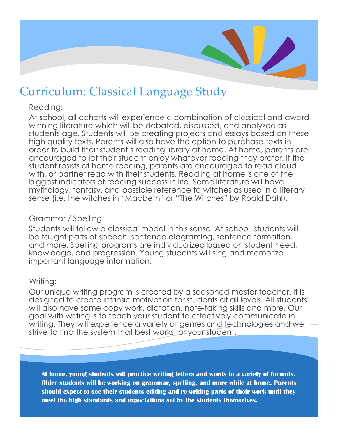

## Curriculum: Classical Language Study

#### Reading:

 $\frac{1}{2}$ <br> $\frac{1}{2}$ <br> $\frac{1}{2}$ <br> $\frac{1}{2}$ <br> $\frac{1}{2}$ At school, all cohorts will experience a combination of classical and award winning literature which will be debated, discussed, and analyzed as students age. Students will be creating projects and essays based on these high quality texts. Parents will also have the option to purchase texts in order to build their student's reading library at home. At home, parents are encouraged to let their student enjoy whatever reading they prefer. If the student resists at home reading, parents are encouraged to read aloud with, or partner read with their students. Reading at home is one of the biggest indicators of reading success in life. Some literature will have mythology, fantasy, and possible reference to witches as used in a literary sense (i.e. the witches in "Macbeth" or "The Witches" by Roald Dahl).

## Grammar / Spelling:

Students will follow a classical model in this sense. At school, students will be taught parts of speech, sentence diagraming, sentence formation, and more. Spelling programs are individualized based on student need, knowledge, and progression. Young students will sing and memorize important language information.

## Writing:

Our unique writing program is created by a seasoned master teacher. It is designed to create intrinsic motivation for students at all levels. All students will also have some copy work, dictation, note-taking skills and more. Our goal with writing is to teach your student to effectively communicate in writing. They will experience a variety of genres and technologies and we strive to find the system that best works for your student.

**At home, young students will practice writing letters and words in a variety of formats. Older students will be working on grammar, spelling, and more while at home. Parents should expect to see their students editing and re-writing parts of their work until they meet the high standards and expectations set by the students themselves.**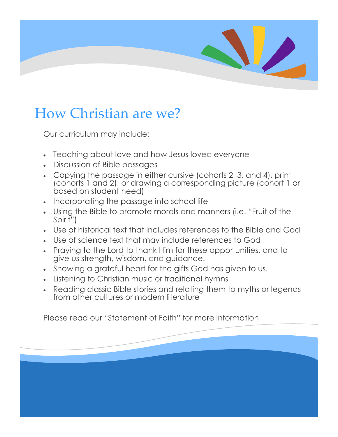# 

# How Christian are we?

Our curriculum may include:

- Teaching about love and how Jesus loved everyone
- Discussion of Bible passages
- based on student need)<br>Incorporating the passage Copying the passage in either cursive (cohorts 2, 3, and 4), print (cohorts 1 and 2), or drawing a corresponding picture (cohort 1 or
- Incorporating the passage into school life
- Using the Bible to promote morals and manners (i.e. "Fruit of the Spirit")
- Use of historical text that includes references to the Bible and God
- Use of science text that may include references to God
- Praying to the Lord to thank Him for these opportunities, and to give us strength, wisdom, and guidance.
- . Showing a grateful heart for the gifts God has given to us.
- Listening to Christian music or traditional hymns
- Reading classic Bible stories and relating them to myths or legends from other cultures or modern literature

Please read our "Statement of Faith" for more information